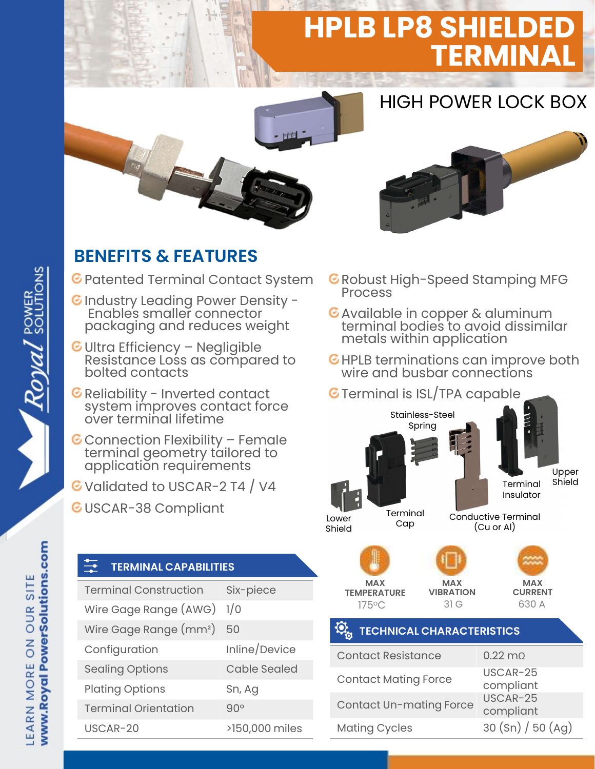# **HPLB LP8 SHIELD** TERMINAL

## HIGH POWER LOCK BOX



### BENEFITS & FEATURES

- **C** Patented Terminal Contact System **C** Robust I
- C Industry Leading Power Density -Enables smaller connector packaging and reduces weight
- **ENEFITS & FEATURES**<br>
Patented Terminal Contact System GRA<br>
Industry Leading Power Density Resistance Ionnector<br>
Prackaging and reduces weight<br>
Ultra Efficiency Negligible<br>
Resistance Loss as compared to GHI<br>
bolted co Reliability Leading Power Density -<br>Finables smaller connector<br>packaging and reduces weight<br>Ultra Efficiency – Negligible<br>Resistance Loss as compared to<br>bolted contacts<br>Reliability - Inverted contact<br>system improves contac packaging and reduces weight<br>
Ultra Efficiency – Negligible<br>
Resistance Loss as compared to<br>
Reliability – Inverted contact<br>
Reliability – Inverted contact<br>
System improves contact force<br>
over terminal lifetime<br>
Connection
- 
- 
- G Validated to USCAR-2 T4 / V4
- GUSCAR-38 Compliant

#### TERMINAL CAPABILITIES

| Validated to USCAR-2 T4 / V4<br>USCAR-38 Compliant |                     | Te<br>Lower<br>Shield          |
|----------------------------------------------------|---------------------|--------------------------------|
| <b>TERMINAL CAPABILITIES</b>                       |                     |                                |
| <b>Terminal Construction</b>                       | Six-piece           | <b>MAX</b><br><b>TEMPERATU</b> |
| Wire Gage Range (AWG)                              | 1/0                 | 175°C                          |
| Wire Gage Range (mm <sup>2</sup> )                 | 50                  | <b>TECHN</b>                   |
| Configuration                                      | Inline/Device       | <b>Contact Re</b>              |
| <b>Sealing Options</b>                             | <b>Cable Sealed</b> | <b>Contact Mo</b>              |
| <b>Plating Options</b>                             | Sn, Ag              |                                |
| <b>Terminal Orientation</b>                        | 90°                 | <b>Contact Ur</b>              |
| USCAR-20                                           | >150,000 miles      | <b>Mating Cyc</b>              |
|                                                    |                     |                                |

- **C** Robust High-Speed Stamping MFG
- Available in copper & aluminum terminal bodies to avoid dissimilar metals within application
- HPLB terminations can improve both wire and busbar connections

#### **G** Terminal is ISL/TPA capable



compliant

www.Royal PowerSolutions.com

LEARN MORE ON OUR SITE